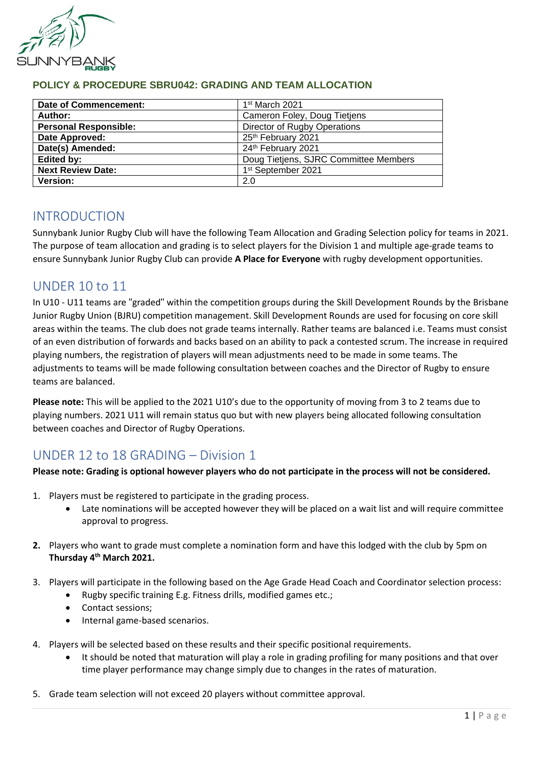

| Date of Commencement:        | 1 <sup>st</sup> March 2021            |
|------------------------------|---------------------------------------|
| Author:                      | Cameron Foley, Doug Tietjens          |
| <b>Personal Responsible:</b> | Director of Rugby Operations          |
| Date Approved:               | 25th February 2021                    |
| Date(s) Amended:             | 24th February 2021                    |
| Edited by:                   | Doug Tietjens, SJRC Committee Members |
| <b>Next Review Date:</b>     | 1st September 2021                    |
| Version:                     | 2.0                                   |

## **POLICY & PROCEDURE SBRU042: GRADING AND TEAM ALLOCATION**

# INTRODUCTION

Sunnybank Junior Rugby Club will have the following Team Allocation and Grading Selection policy for teams in 2021. The purpose of team allocation and grading is to select players for the Division 1 and multiple age-grade teams to ensure Sunnybank Junior Rugby Club can provide **A Place for Everyone** with rugby development opportunities.

# UNDER 10 to 11

In U10 - U11 teams are "graded" within the competition groups during the Skill Development Rounds by the Brisbane Junior Rugby Union (BJRU) competition management. Skill Development Rounds are used for focusing on core skill areas within the teams. The club does not grade teams internally. Rather teams are balanced i.e. Teams must consist of an even distribution of forwards and backs based on an ability to pack a contested scrum. The increase in required playing numbers, the registration of players will mean adjustments need to be made in some teams. The adjustments to teams will be made following consultation between coaches and the Director of Rugby to ensure teams are balanced.

**Please note:** This will be applied to the 2021 U10's due to the opportunity of moving from 3 to 2 teams due to playing numbers. 2021 U11 will remain status quo but with new players being allocated following consultation between coaches and Director of Rugby Operations.

# UNDER 12 to 18 GRADING – Division 1

#### **Please note: Grading is optional however players who do not participate in the process will not be considered.**

- 1. Players must be registered to participate in the grading process.
	- Late nominations will be accepted however they will be placed on a wait list and will require committee approval to progress.
- **2.** Players who want to grade must complete a nomination form and have this lodged with the club by 5pm on **Thursday 4 th March 2021.**
- 3. Players will participate in the following based on the Age Grade Head Coach and Coordinator selection process:
	- Rugby specific training E.g. Fitness drills, modified games etc.;
	- Contact sessions;
	- Internal game-based scenarios.
- 4. Players will be selected based on these results and their specific positional requirements.
	- It should be noted that maturation will play a role in grading profiling for many positions and that over time player performance may change simply due to changes in the rates of maturation.
- 5. Grade team selection will not exceed 20 players without committee approval.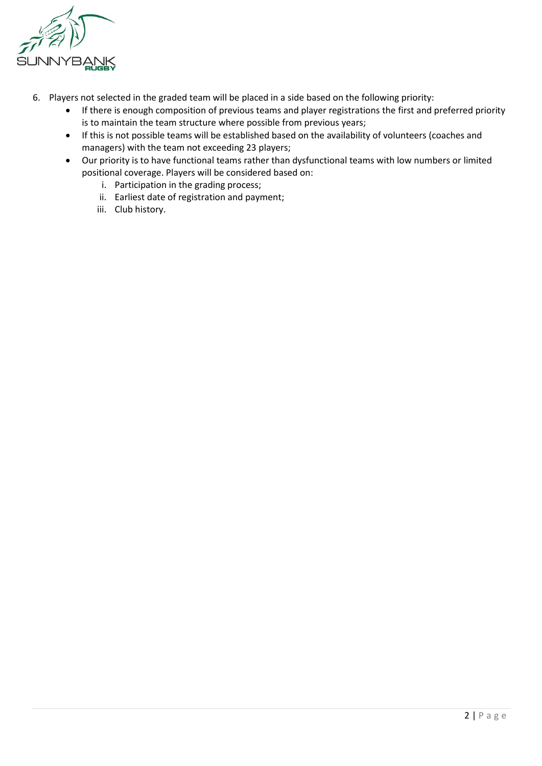

- 6. Players not selected in the graded team will be placed in a side based on the following priority:
	- If there is enough composition of previous teams and player registrations the first and preferred priority is to maintain the team structure where possible from previous years;
	- If this is not possible teams will be established based on the availability of volunteers (coaches and managers) with the team not exceeding 23 players;
	- Our priority is to have functional teams rather than dysfunctional teams with low numbers or limited positional coverage. Players will be considered based on:
		- i. Participation in the grading process;
		- ii. Earliest date of registration and payment;
		- iii. Club history.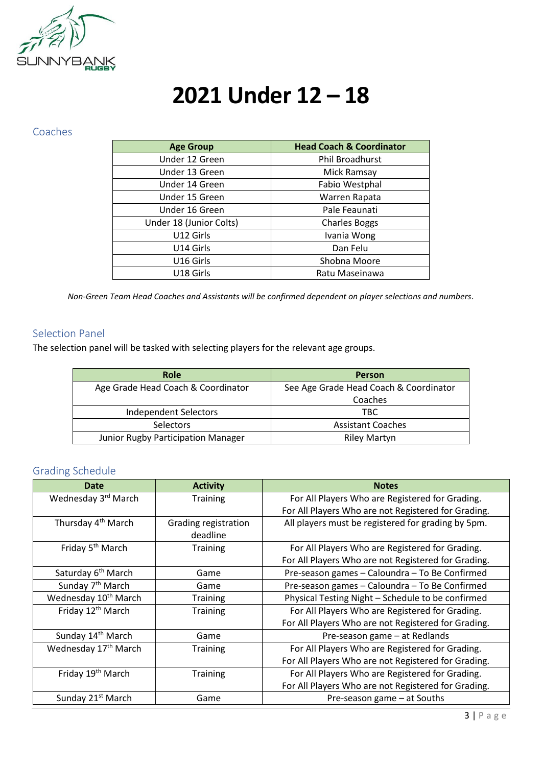

# **2021 Under 12 – 18**

#### Coaches

| <b>Age Group</b>        | <b>Head Coach &amp; Coordinator</b> |
|-------------------------|-------------------------------------|
| Under 12 Green          | Phil Broadhurst                     |
| Under 13 Green          | Mick Ramsay                         |
| Under 14 Green          | Fabio Westphal                      |
| Under 15 Green          | Warren Rapata                       |
| Under 16 Green          | Pale Feaunati                       |
| Under 18 (Junior Colts) | <b>Charles Boggs</b>                |
| U12 Girls               | Ivania Wong                         |
| U14 Girls               | Dan Felu                            |
| U16 Girls               | Shobna Moore                        |
| U18 Girls               | Ratu Maseinawa                      |

*Non-Green Team Head Coaches and Assistants will be confirmed dependent on player selections and numbers.*

## Selection Panel

The selection panel will be tasked with selecting players for the relevant age groups.

| <b>Role</b>                        | <b>Person</b>                          |
|------------------------------------|----------------------------------------|
| Age Grade Head Coach & Coordinator | See Age Grade Head Coach & Coordinator |
|                                    | Coaches                                |
| Independent Selectors              | TBC.                                   |
| <b>Selectors</b>                   | <b>Assistant Coaches</b>               |
| Junior Rugby Participation Manager | <b>Riley Martyn</b>                    |

## Grading Schedule

| Date                             | <b>Activity</b>      | <b>Notes</b>                                        |
|----------------------------------|----------------------|-----------------------------------------------------|
| Wednesday 3rd March              | <b>Training</b>      | For All Players Who are Registered for Grading.     |
|                                  |                      | For All Players Who are not Registered for Grading. |
| Thursday 4 <sup>th</sup> March   | Grading registration | All players must be registered for grading by 5pm.  |
|                                  | deadline             |                                                     |
| Friday 5 <sup>th</sup> March     | <b>Training</b>      | For All Players Who are Registered for Grading.     |
|                                  |                      | For All Players Who are not Registered for Grading. |
| Saturday 6 <sup>th</sup> March   | Game                 | Pre-season games - Caloundra - To Be Confirmed      |
| Sunday 7 <sup>th</sup> March     | Game                 | Pre-season games - Caloundra - To Be Confirmed      |
| Wednesday 10 <sup>th</sup> March | <b>Training</b>      | Physical Testing Night - Schedule to be confirmed   |
| Friday 12 <sup>th</sup> March    | <b>Training</b>      | For All Players Who are Registered for Grading.     |
|                                  |                      | For All Players Who are not Registered for Grading. |
| Sunday 14 <sup>th</sup> March    | Game                 | Pre-season game - at Redlands                       |
| Wednesday 17 <sup>th</sup> March | <b>Training</b>      | For All Players Who are Registered for Grading.     |
|                                  |                      | For All Players Who are not Registered for Grading. |
| Friday 19 <sup>th</sup> March    | <b>Training</b>      | For All Players Who are Registered for Grading.     |
|                                  |                      | For All Players Who are not Registered for Grading. |
| Sunday 21 <sup>st</sup> March    | Game                 | Pre-season game - at Souths                         |